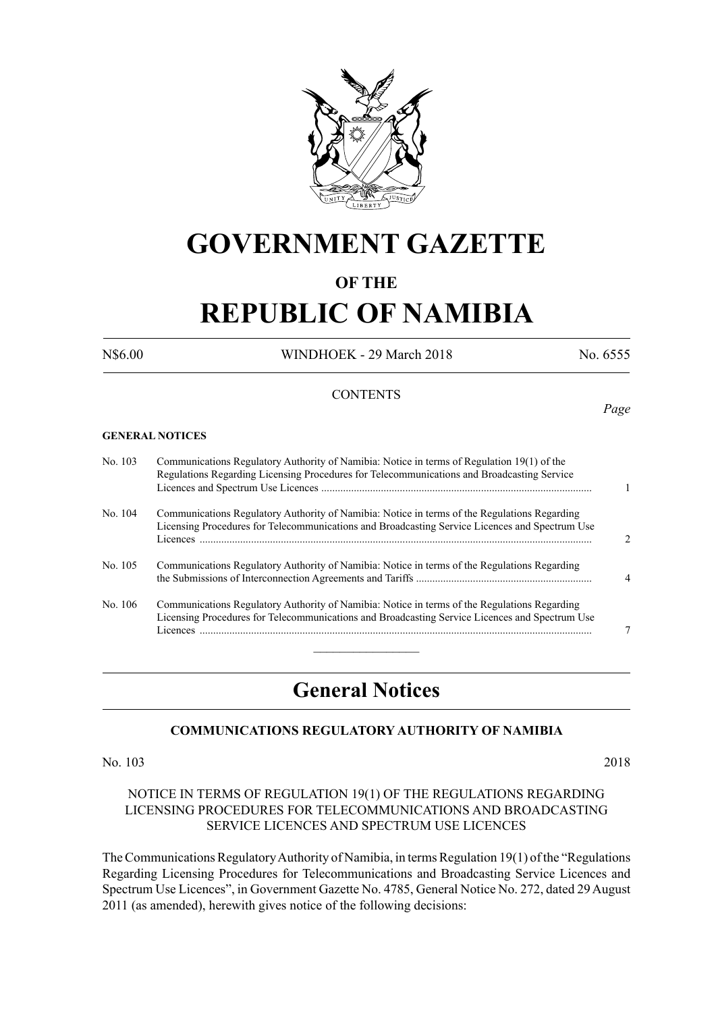

## **GOVERNMENT GAZETTE**

### **OF THE**

# **REPUBLIC OF NAMIBIA**

N\$6.00 WINDHOEK - 29 March 2018 No. 6555

#### **CONTENTS**

**GENERAL NOTICES**

No. 103 Communications Regulatory Authority of Namibia: Notice in terms of Regulation 19(1) of the Regulations Regarding Licensing Procedures for Telecommunications and Broadcasting Service Licences and Spectrum Use Licences .................................................................................................... 1 No. 104 Communications Regulatory Authority of Namibia: Notice in terms of the Regulations Regarding Licensing Procedures for Telecommunications and Broadcasting Service Licences and Spectrum Use Licences ................................................................................................................................................. 2 No. 105 Communications Regulatory Authority of Namibia: Notice in terms of the Regulations Regarding the Submissions of Interconnection Agreements and Tariffs ................................................................. 4 No. 106 Communications Regulatory Authority of Namibia: Notice in terms of the Regulations Regarding Licensing Procedures for Telecommunications and Broadcasting Service Licences and Spectrum Use Licences ................................................................................................................................................. 7  $\overline{\phantom{a}}$  , where  $\overline{\phantom{a}}$ 

### **General Notices**

#### **COMMUNICATIONS REGULATORY AUTHORITY OF NAMIBIA**

No. 103 2018

#### NOTICE IN TERMS OF REGULATION 19(1) OF THE REGULATIONS REGARDING LICENSING PROCEDURES FOR TELECOMMUNICATIONS AND BROADCASTING SERVICE LICENCES AND SPECTRUM USE LICENCES

The Communications Regulatory Authority of Namibia, in terms Regulation 19(1) of the "Regulations Regarding Licensing Procedures for Telecommunications and Broadcasting Service Licences and Spectrum Use Licences", in Government Gazette No. 4785, General Notice No. 272, dated 29 August 2011 (as amended), herewith gives notice of the following decisions:

*Page*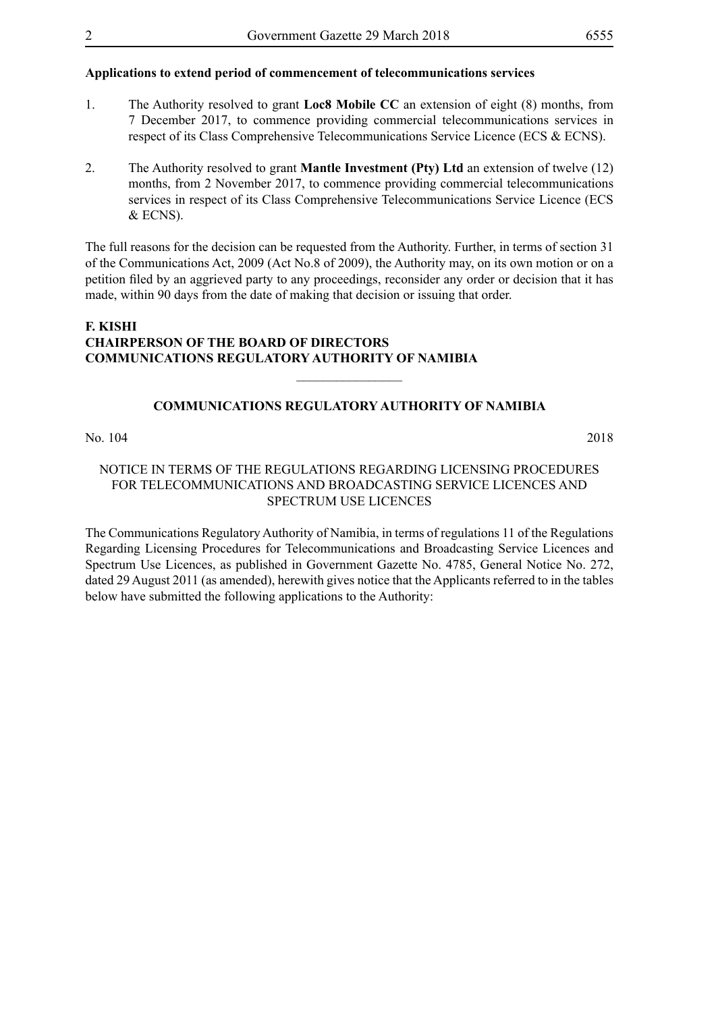#### **Applications to extend period of commencement of telecommunications services**

- 1. The Authority resolved to grant **Loc8 Mobile CC** an extension of eight (8) months, from 7 December 2017, to commence providing commercial telecommunications services in respect of its Class Comprehensive Telecommunications Service Licence (ECS & ECNS).
- 2. The Authority resolved to grant **Mantle Investment (Pty) Ltd** an extension of twelve (12) months, from 2 November 2017, to commence providing commercial telecommunications services in respect of its Class Comprehensive Telecommunications Service Licence (ECS & ECNS).

The full reasons for the decision can be requested from the Authority. Further, in terms of section 31 of the Communications Act, 2009 (Act No.8 of 2009), the Authority may, on its own motion or on a petition filed by an aggrieved party to any proceedings, reconsider any order or decision that it has made, within 90 days from the date of making that decision or issuing that order.

#### **F. KISHI CHAIRPERSON OF THE BOARD OF DIRECTORS COMMUNICATIONS REGULATORY AUTHORITY OF NAMIBIA**

#### **COMMUNICATIONS REGULATORY AUTHORITY OF NAMIBIA**

 $\overline{\phantom{a}}$  , where  $\overline{\phantom{a}}$ 

No. 104 2018

#### NOTICE IN TERMS OF THE REGULATIONS REGARDING LICENSING PROCEDURES FOR TELECOMMUNICATIONS AND BROADCASTING SERVICE LICENCES AND SPECTRUM USE LICENCES

The Communications Regulatory Authority of Namibia, in terms of regulations 11 of the Regulations Regarding Licensing Procedures for Telecommunications and Broadcasting Service Licences and Spectrum Use Licences, as published in Government Gazette No. 4785, General Notice No. 272, dated 29 August 2011 (as amended), herewith gives notice that the Applicants referred to in the tables below have submitted the following applications to the Authority: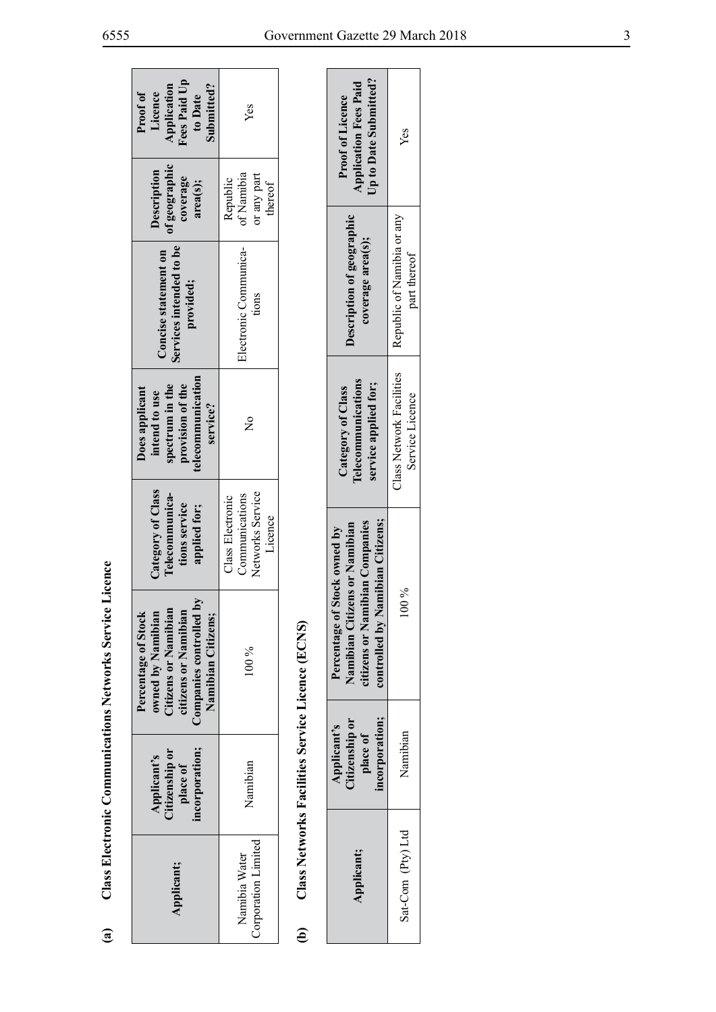|                                                                 | Fees Paid Up<br>Application<br>Submitted?<br>Proof of<br>Licence<br>to Date<br>of geographic<br>Description<br>coverage<br>area(s);<br>Services intended to be<br>Concise statement on<br>provided; | Yes<br>of Namibia<br>or any part<br>Republic<br>thereof<br>Electronic Communica-<br>tions |                                                  | <b>Proof of Licence</b><br>Description of geographic          |
|-----------------------------------------------------------------|-----------------------------------------------------------------------------------------------------------------------------------------------------------------------------------------------------|-------------------------------------------------------------------------------------------|--------------------------------------------------|---------------------------------------------------------------|
|                                                                 | telecommunication<br>provision of the<br>spectrum in the<br>Does applicant<br>intend to use<br>service?                                                                                             | $\frac{1}{2}$                                                                             |                                                  | Category of Class                                             |
|                                                                 | Category of Class<br>Telecommunica-<br>tions service<br>applied for;                                                                                                                                | Networks Service<br>Communications<br>Class Electronic<br>Licence                         |                                                  |                                                               |
| <b>Class Electronic Communications Networks Service Licence</b> | Companies controlled by<br>Citizens or Namibian<br>citizens or Namibian<br>Percentage of Stock<br>owned by Namibian<br>Namibian Citizens;                                                           | $100\%$                                                                                   | Class Networks Facilities Service Licence (ECNS) | Namihian Citizens or Namihian<br>Percentage of Stock owned by |
|                                                                 | incorporation;<br>Citizenship or<br>Applicant's<br>place of                                                                                                                                         | Namibian                                                                                  |                                                  | Citizenshin or<br>Applicant's                                 |
| $\mathbf{\hat{a}}$                                              | Applicant;                                                                                                                                                                                          | Corporation Limited<br>Namibia Water                                                      | $\widehat{\mathbf{e}}$                           |                                                               |

| Up to Date Submitted?<br><b>Application Fees Paid</b><br><b>Proof of Licence</b>                                                                     | Yes                                                                   |
|------------------------------------------------------------------------------------------------------------------------------------------------------|-----------------------------------------------------------------------|
| <b>Description of geographic</b><br>coverage area(s);                                                                                                | Class Network Facilities   Republic of Namibia or any<br>part thereof |
| l'elecommunications<br>service applied for;<br>Category of Class                                                                                     | Service Licence                                                       |
| Namibian Citizens:<br>Vamibian Citizens or Namibian<br>itizens or Namibian Companies<br>f Stock owned by<br>ontrolled by $\mathbb N$<br>Percentage o | $\%00$                                                                |
| itizenship or<br>ncorporation<br>Applicant's<br>place of                                                                                             | Vamibian                                                              |
| <b>Applicant;</b>                                                                                                                                    | Sat-Com (Pty) Ltd                                                     |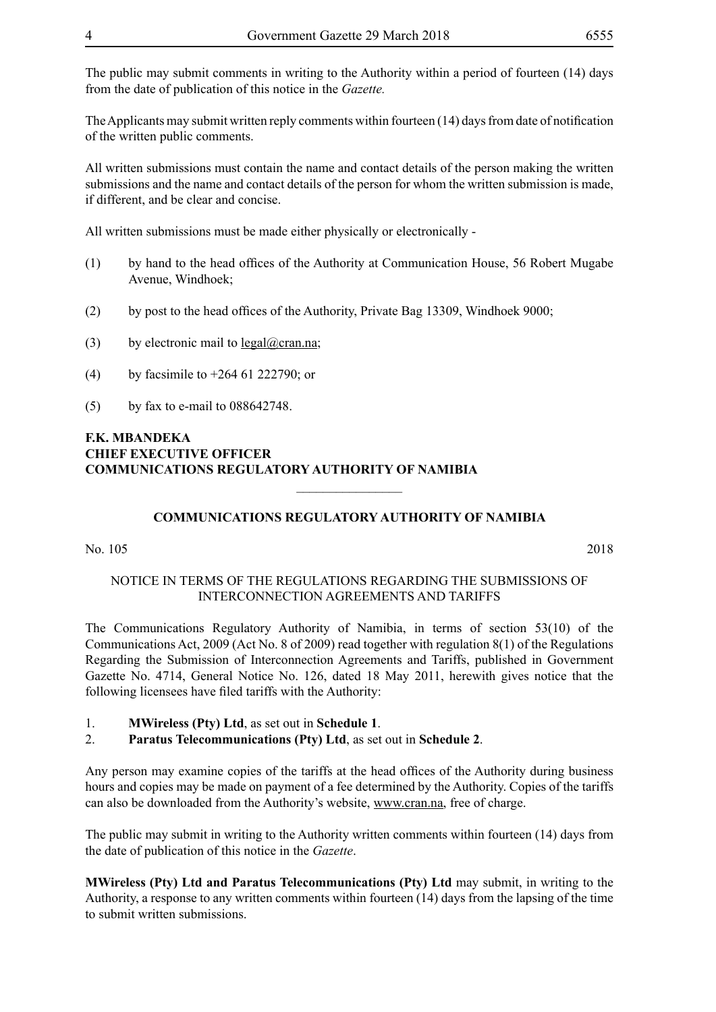The public may submit comments in writing to the Authority within a period of fourteen (14) days from the date of publication of this notice in the *Gazette.* 

The Applicants may submit written reply comments within fourteen (14) days from date of notification of the written public comments.

All written submissions must contain the name and contact details of the person making the written submissions and the name and contact details of the person for whom the written submission is made, if different, and be clear and concise.

All written submissions must be made either physically or electronically -

- (1) by hand to the head offices of the Authority at Communication House, 56 Robert Mugabe Avenue, Windhoek;
- (2) by post to the head offices of the Authority, Private Bag 13309, Windhoek 9000;
- (3) by electronic mail to  $\text{legal}(\omega)$ cran.na;
- (4) by facsimile to +264 61 222790; or
- (5) by fax to e-mail to 088642748.

#### **F.K. MBANDEKA CHIEF EXECUTIVE OFFICER COMMUNICATIONS REGULATORY AUTHORITY OF NAMIBIA**

#### **COMMUNICATIONS REGULATORY AUTHORITY OF NAMIBIA**

 $\overline{\phantom{a}}$  , where  $\overline{\phantom{a}}$ 

No. 105 2018

#### NOTICE IN TERMS OF THE REGULATIONS REGARDING THE SUBMISSIONS OF INTERCONNECTION AGREEMENTS AND TARIFFS

The Communications Regulatory Authority of Namibia, in terms of section 53(10) of the Communications Act, 2009 (Act No. 8 of 2009) read together with regulation 8(1) of the Regulations Regarding the Submission of Interconnection Agreements and Tariffs, published in Government Gazette No. 4714, General Notice No. 126, dated 18 May 2011, herewith gives notice that the following licensees have filed tariffs with the Authority:

- 1. **MWireless (Pty) Ltd**, as set out in **Schedule 1**.
- 2. **Paratus Telecommunications (Pty) Ltd**, as set out in **Schedule 2**.

Any person may examine copies of the tariffs at the head offices of the Authority during business hours and copies may be made on payment of a fee determined by the Authority. Copies of the tariffs can also be downloaded from the Authority's website, www.cran.na, free of charge.

The public may submit in writing to the Authority written comments within fourteen (14) days from the date of publication of this notice in the *Gazette*.

**MWireless (Pty) Ltd and Paratus Telecommunications (Pty) Ltd** may submit, in writing to the Authority, a response to any written comments within fourteen (14) days from the lapsing of the time to submit written submissions.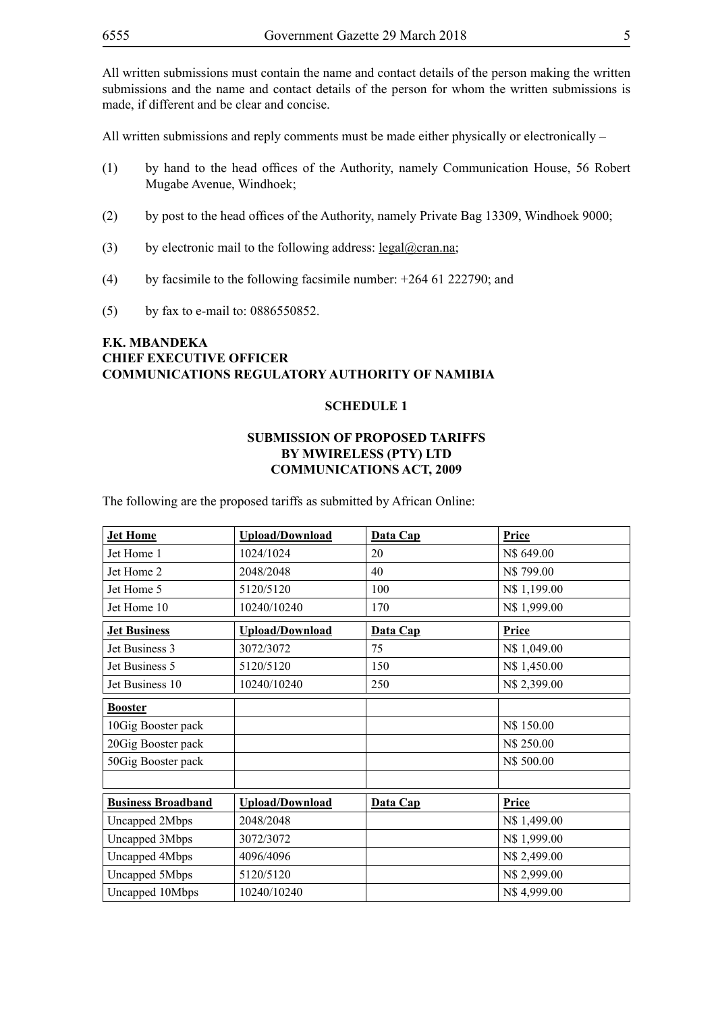All written submissions must contain the name and contact details of the person making the written submissions and the name and contact details of the person for whom the written submissions is made, if different and be clear and concise.

All written submissions and reply comments must be made either physically or electronically –

- (1) by hand to the head offices of the Authority, namely Communication House, 56 Robert Mugabe Avenue, Windhoek;
- (2) by post to the head offices of the Authority, namely Private Bag 13309, Windhoek 9000;
- (3) by electronic mail to the following address: legal@cran.na;
- (4) by facsimile to the following facsimile number: +264 61 222790; and
- (5) by fax to e-mail to: 0886550852.

#### **F.K. MBANDEKA CHIEF EXECUTIVE OFFICER COMMUNICATIONS REGULATORY AUTHORITY OF NAMIBIA**

#### **SCHEDULE 1**

#### **SUBMISSION OF PROPOSED TARIFFS BY MWIRELESS (PTY) LTD COMMUNICATIONS ACT, 2009**

The following are the proposed tariffs as submitted by African Online:

| <b>Jet Home</b>           | <b>Upload/Download</b> | Data Cap | Price        |
|---------------------------|------------------------|----------|--------------|
| Jet Home 1                | 1024/1024              | 20       | N\$ 649.00   |
| Jet Home 2                | 2048/2048              | 40       | N\$ 799.00   |
| Jet Home 5                | 5120/5120              | 100      | N\$ 1,199.00 |
| Jet Home 10               | 10240/10240            | 170      | N\$ 1,999.00 |
| <b>Jet Business</b>       | <b>Upload/Download</b> | Data Cap | Price        |
| Jet Business 3            | 3072/3072              | 75       | N\$ 1,049.00 |
| Jet Business 5            | 5120/5120              | 150      | N\$ 1,450.00 |
| Jet Business 10           | 10240/10240            | 250      | N\$ 2,399.00 |
| <b>Booster</b>            |                        |          |              |
| 10Gig Booster pack        |                        |          | N\$ 150.00   |
| 20Gig Booster pack        |                        |          | N\$ 250.00   |
| 50Gig Booster pack        |                        |          | N\$ 500.00   |
|                           |                        |          |              |
| <b>Business Broadband</b> | <b>Upload/Download</b> | Data Cap | Price        |
| Uncapped 2Mbps            | 2048/2048              |          | N\$ 1,499.00 |
| Uncapped 3Mbps            | 3072/3072              |          | N\$ 1,999.00 |
| Uncapped 4Mbps            | 4096/4096              |          | N\$ 2,499.00 |
| Uncapped 5Mbps            | 5120/5120              |          | N\$ 2,999.00 |
| Uncapped 10Mbps           | 10240/10240            |          | N\$4,999.00  |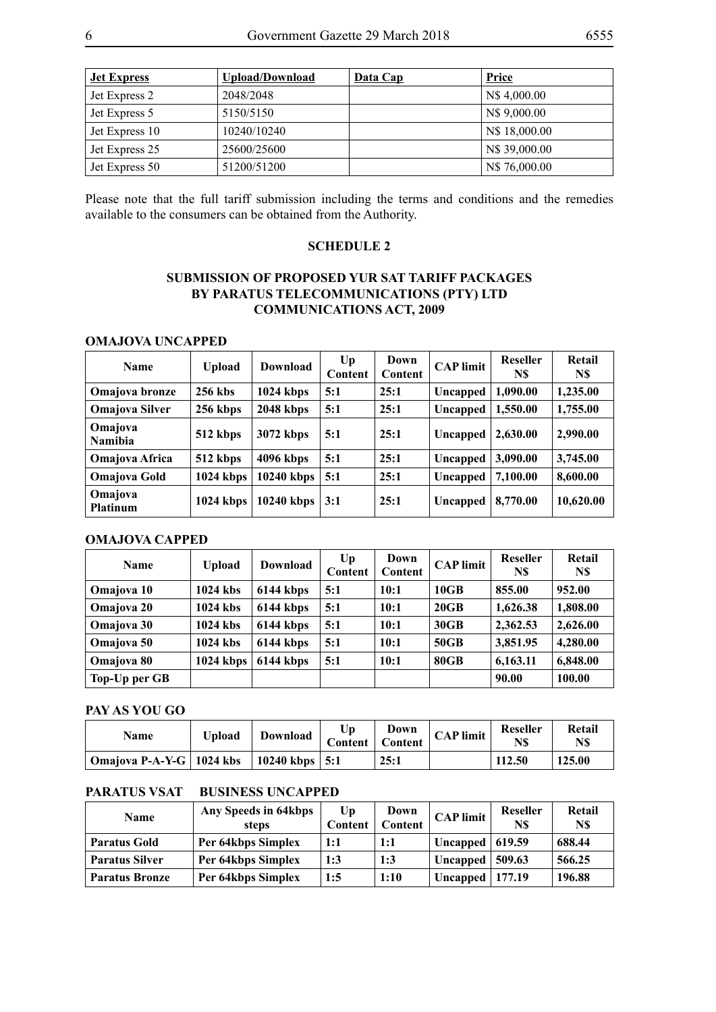| <b>Jet Express</b> | Upload/Download | Data Cap | <b>Price</b>  |
|--------------------|-----------------|----------|---------------|
| Jet Express 2      | 2048/2048       |          | N\$4,000.00   |
| Jet Express 5      | 5150/5150       |          | N\$ 9,000.00  |
| Jet Express 10     | 10240/10240     |          | N\$ 18,000.00 |
| Jet Express 25     | 25600/25600     |          | N\$ 39,000.00 |
| Jet Express 50     | 51200/51200     |          | N\$ 76,000.00 |

Please note that the full tariff submission including the terms and conditions and the remedies available to the consumers can be obtained from the Authority.

#### **SCHEDULE 2**

#### **SUBMISSION OF PROPOSED YUR SAT TARIFF PACKAGES BY PARATUS TELECOMMUNICATIONS (PTY) LTD COMMUNICATIONS ACT, 2009**

#### **OMAJOVA UNCAPPED**

| <b>Name</b>                | <b>Upload</b> | Download     | $U_{p}$<br>Content | Down<br><b>Content</b> | <b>CAP</b> limit | <b>Reseller</b><br>N\$ | Retail<br>N\$ |
|----------------------------|---------------|--------------|--------------------|------------------------|------------------|------------------------|---------------|
| Omajova bronze             | 256 kbs       | $1024$ kbps  | 5:1                | 25:1                   | Uncapped         | 1.090.00               | 1,235.00      |
| <b>Omajova Silver</b>      | 256 kbps      | $2048$ kbps  | 5:1                | 25:1                   | Uncapped         | 1,550.00               | 1,755.00      |
| Omajova<br><b>Namibia</b>  | 512 kbps      | 3072 kbps    | 5:1                | 25:1                   | Uncapped         | 2,630.00               | 2,990.00      |
| <b>Omajova Africa</b>      | 512 kbps      | 4096 kbps    | 5:1                | 25:1                   | Uncapped         | 3,090.00               | 3,745.00      |
| <b>Omajova Gold</b>        | $1024$ kbps   | $10240$ kbps | 5:1                | 25:1                   | Uncapped         | 7,100.00               | 8,600.00      |
| Omajova<br><b>Platinum</b> | $1024$ kbps   | $10240$ kbps | 3:1                | 25:1                   | Uncapped         | 8,770.00               | 10,620.00     |

#### **OMAJOVA CAPPED**

| <b>Name</b>   | <b>Upload</b> | <b>Download</b> | U <sub>p</sub><br>Content | Down<br>Content | <b>CAP</b> limit | Reseller<br>N\$ | Retail<br>N\$ |
|---------------|---------------|-----------------|---------------------------|-----------------|------------------|-----------------|---------------|
| Omajova 10    | 1024 kbs      | 6144 kbps       | 5:1                       | 10:1            | 10GB             | 855.00          | 952.00        |
| Omajova 20    | 1024 kbs      | 6144 kbps       | 5:1                       | 10:1            | 20GB             | 1,626.38        | 1,808.00      |
| Omajova 30    | 1024 kbs      | 6144 kbps       | 5:1                       | 10:1            | 30GB             | 2,362.53        | 2,626.00      |
| Omajova 50    | 1024 kbs      | 6144 kbps       | 5:1                       | 10:1            | 50GB             | 3,851.95        | 4,280.00      |
| Omajova 80    | $1024$ kbps   | 6144 kbps       | 5:1                       | 10:1            | 80GB             | 6,163.11        | 6,848.00      |
| Top-Up per GB |               |                 |                           |                 |                  | 90.00           | 100.00        |

#### **PAY AS YOU GO**

| Name                                          | Upload | Download | Up<br>Content   Content | Down | $CAP$ limit | <b>Reseller</b><br>N\$ | Retail<br>N\$ |
|-----------------------------------------------|--------|----------|-------------------------|------|-------------|------------------------|---------------|
| Omajova P-A-Y-G   1024 kbs   10240 kbps   5:1 |        |          |                         | 25:1 |             | 112.50                 | 125.00        |

#### **PARATUS VSAT BUSINESS UNCAPPED**

| <b>Name</b>           | Any Speeds in 64kbps<br>steps | U <sub>p</sub><br>Content | Down<br>Content | <b>CAP</b> limit    | <b>Reseller</b><br>N\$ | Retail<br>N\$ |
|-----------------------|-------------------------------|---------------------------|-----------------|---------------------|------------------------|---------------|
| <b>Paratus Gold</b>   | Per 64kbps Simplex            | 1:1                       | 1:1             | Uncapped $ 619.59$  |                        | 688.44        |
| <b>Paratus Silver</b> | Per 64kbps Simplex            | 1:3                       | 1:3             | Uncapped $ 509.63$  |                        | 566.25        |
| <b>Paratus Bronze</b> | Per 64kbps Simplex            | 1:5                       | 1:10            | Uncapped   $177.19$ |                        | 196.88        |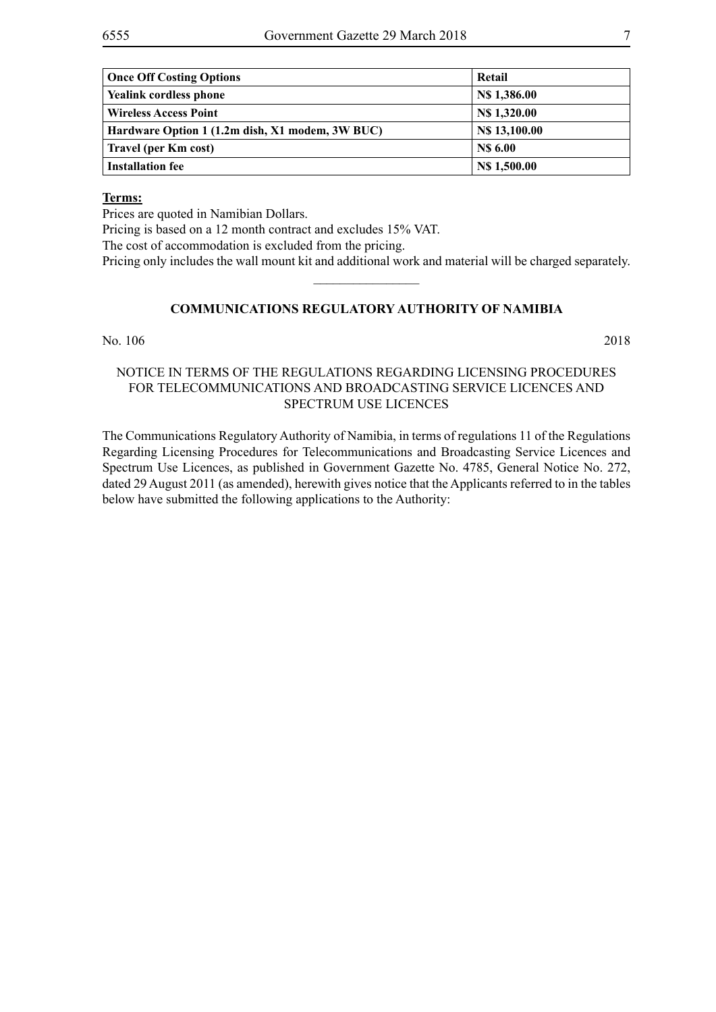| <b>Once Off Costing Options</b>                 | Retail              |
|-------------------------------------------------|---------------------|
| <b>Yealink cordless phone</b>                   | <b>NS 1,386.00</b>  |
| <b>Wireless Access Point</b>                    | N\$ 1,320.00        |
| Hardware Option 1 (1.2m dish, X1 modem, 3W BUC) | N\$ 13,100.00       |
| Travel (per Km cost)                            | <b>NS 6.00</b>      |
| <b>Installation fee</b>                         | <b>N\$ 1,500.00</b> |

#### **Terms:**

Prices are quoted in Namibian Dollars.

Pricing is based on a 12 month contract and excludes 15% VAT.

The cost of accommodation is excluded from the pricing.

Pricing only includes the wall mount kit and additional work and material will be charged separately.  $\frac{1}{2}$ 

#### **COMMUNICATIONS REGULATORY AUTHORITY OF NAMIBIA**

#### No. 106 2018

#### NOTICE IN TERMS OF THE REGULATIONS REGARDING LICENSING PROCEDURES FOR TELECOMMUNICATIONS AND BROADCASTING SERVICE LICENCES AND SPECTRUM USE LICENCES

The Communications Regulatory Authority of Namibia, in terms of regulations 11 of the Regulations Regarding Licensing Procedures for Telecommunications and Broadcasting Service Licences and Spectrum Use Licences, as published in Government Gazette No. 4785, General Notice No. 272, dated 29 August 2011 (as amended), herewith gives notice that the Applicants referred to in the tables below have submitted the following applications to the Authority: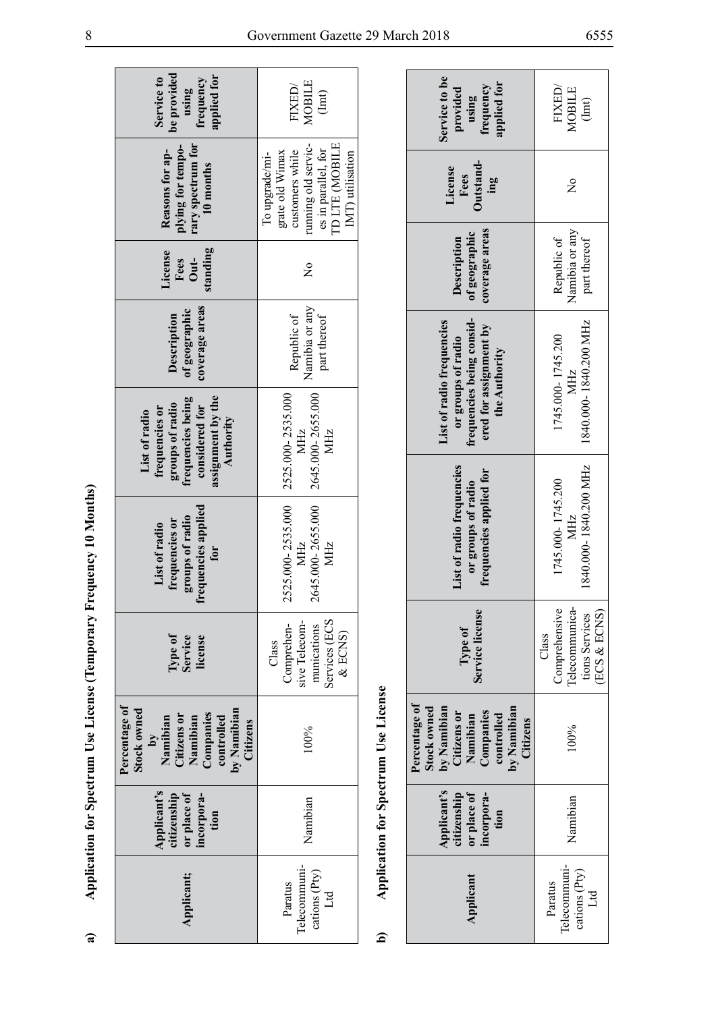| $\sim$ $\sqrt{ }$                |                                                                                                                                 |
|----------------------------------|---------------------------------------------------------------------------------------------------------------------------------|
|                                  | ĺ                                                                                                                               |
| ・・・・・・・・                         |                                                                                                                                 |
|                                  |                                                                                                                                 |
|                                  |                                                                                                                                 |
|                                  |                                                                                                                                 |
| I                                |                                                                                                                                 |
|                                  | ֖֪ׅׅׅׅ֧֖֧ׅׅׅׅׅ֚֚֚֚֚֚֚֚֚֚֚֚֚֚֚֚֚֚֚֚֚֚֚֚֚֚֚֡֝֡֡֞֡֞֝֟֝֬֝֬֝֬֝֬֞֝֬֝֬֝֞֞֝֬֝֬֞֝֬֝֝֬֝֬֝֞֝֬֝֝֞֞֝֬֝֝<br>֧֧֧֖֖֖֖֖֖֖֖֧֪ׅ֖֚֚֚֚֚֚֚֚֚֚֚֚֚֝֝֝֝֝ |
|                                  |                                                                                                                                 |
| The model was in the case of the |                                                                                                                                 |
|                                  |                                                                                                                                 |
| I                                | $\ddot{\phantom{0}}$                                                                                                            |
|                                  |                                                                                                                                 |
|                                  |                                                                                                                                 |
| りょくしょ                            |                                                                                                                                 |
| 1                                |                                                                                                                                 |
|                                  |                                                                                                                                 |
| j                                |                                                                                                                                 |
|                                  |                                                                                                                                 |
|                                  |                                                                                                                                 |
|                                  |                                                                                                                                 |
| i                                |                                                                                                                                 |
|                                  |                                                                                                                                 |
|                                  |                                                                                                                                 |
|                                  |                                                                                                                                 |
|                                  |                                                                                                                                 |
| .<br>.                           |                                                                                                                                 |
|                                  |                                                                                                                                 |
|                                  |                                                                                                                                 |
|                                  |                                                                                                                                 |
|                                  |                                                                                                                                 |

| be provided<br>applied for<br>Service to<br>frequency<br>using                                                                                           | MOBILE<br>FIXED/<br>(1mt)                                                                                                                |                                      | Service to be<br>applied for<br>frequency<br>provided<br>using                                                               | FIXED/<br>MOBILE<br>(1mt)                                                  |
|----------------------------------------------------------------------------------------------------------------------------------------------------------|------------------------------------------------------------------------------------------------------------------------------------------|--------------------------------------|------------------------------------------------------------------------------------------------------------------------------|----------------------------------------------------------------------------|
| rary spectrum for<br>plying for tempo-<br>Reasons for ap-<br>10 months                                                                                   | TD LTE (MOBILE<br>running old servic-<br>es in parallel, for<br>customers while<br>grate old Wimax<br>IMT) utilisation<br>To upgrade/mi- |                                      | Outstand-<br>License<br>Fees<br>ing                                                                                          | $\frac{1}{2}$                                                              |
| standing<br>License<br>Fees<br>Out-                                                                                                                      | $\frac{1}{2}$                                                                                                                            |                                      | coverage areas<br>of geographic<br>Description                                                                               | Namibia or any<br>Republic of<br>part thereof                              |
| coverage areas<br>of geographic<br>Description                                                                                                           | Namibia or any<br>part thereof<br>Republic of                                                                                            |                                      | frequencies being consid-<br>List of radio frequencies<br>ered for assignment by<br>or groups of radio<br>the Authority      | 1840.000-1840.200 MHz<br>1745.000-1745.200<br>MHz                          |
| assignment by the<br>frequencies being<br>groups of radio<br>considered for<br>frequencies or<br>List of radio<br>Authority                              | 2525.000-2535.000<br>2645.000-2655.000<br>MHz<br>MHz                                                                                     |                                      |                                                                                                                              |                                                                            |
|                                                                                                                                                          |                                                                                                                                          |                                      |                                                                                                                              |                                                                            |
| Application for Spectrum Use License (Temporary Frequency 10 Months)<br>frequencies applied<br>groups of radio<br>frequencies or<br>List of radio<br>for | 2525.000-2535.000<br>2645.000-2655.000<br>MHz<br>MHz                                                                                     |                                      | List of radio frequencies<br>frequencies applied for<br>or groups of radio                                                   | 1840.000-1840.200 MHz<br>1745.000-1745.200<br><b>MHz</b>                   |
| Type of<br>Service<br>license                                                                                                                            | Services (ECS<br>sive Telecom-<br>Comprehen-<br>munications<br>& ECNS)<br>Class                                                          |                                      | Service license<br>Type of                                                                                                   | Telecommunica-<br>Comprehensive<br>(ECS & ECNS)<br>tions Services<br>Class |
| Percentage of<br>Stock owned<br>Companies<br>controlled<br>Citizens on<br>Namibian<br>Namibian<br>Δy                                                     | by Namibian<br>Citizens<br>100%                                                                                                          | Application for Spectrum Use License | Percentage of<br>by Namibian<br>by Namibian<br>Stock owned<br>Companies<br>Citizens or<br>controlled<br>Namibian<br>Citizens | 100%                                                                       |
| Applicant's<br>or place of<br>citizenship<br>incorpora-<br>tion                                                                                          | Namibian                                                                                                                                 |                                      | Applicant's<br>or place of<br>citizenship<br>incorpora-<br>tion                                                              | Namibian                                                                   |
| Applicant;                                                                                                                                               | Telecommuni-<br>cations (Pty)<br>Paratus<br>$\mathbb{H}$                                                                                 | ፭                                    | Applicant                                                                                                                    | Telecommuni-<br>cations (Pty)<br>Paratus<br>Lid                            |

| Service to be<br>applied for<br>frequency<br>provided<br>using                                                                 | FIXED,<br>MOBILE<br>(1mt)                                                  |
|--------------------------------------------------------------------------------------------------------------------------------|----------------------------------------------------------------------------|
| Jutstand-<br>License<br>Fees<br>$\mathbf{m}$                                                                                   | $\tilde{\mathsf{X}}$                                                       |
| coverage areas<br>of geographic<br>Description                                                                                 | Namibia or any<br>Republic of<br>part thereof                              |
| frequencies being consid-<br><b>List of radio frequencies</b><br>ered for assignment by<br>or groups of radio<br>the Authority | 1840.000-1840.200 MHz<br>1745.000-1745.200<br><b>MHZ</b>                   |
| List of radio frequencies<br>frequencies applied for<br>or groups of radio                                                     | 1840.000-1840.200 MHz<br>1745.000-1745.200<br>MHz                          |
| Service license<br>Type of                                                                                                     | lelecommunica-<br>Comprehensive<br>(ECS & ECNS)<br>tions Services<br>Class |
| Percentage of<br>by Namibian<br>Citizens or<br>Namibian<br>by Namibian<br>Citizens<br>stock owned<br>Companies<br>controlled   | 100%                                                                       |
| Applicant's<br>or place of<br>citizenship<br>incorpora-<br>tion                                                                | Namibian                                                                   |
| Applicant                                                                                                                      | l'elecommuni-<br>cations (Pty)<br>Paratus<br>Ltd                           |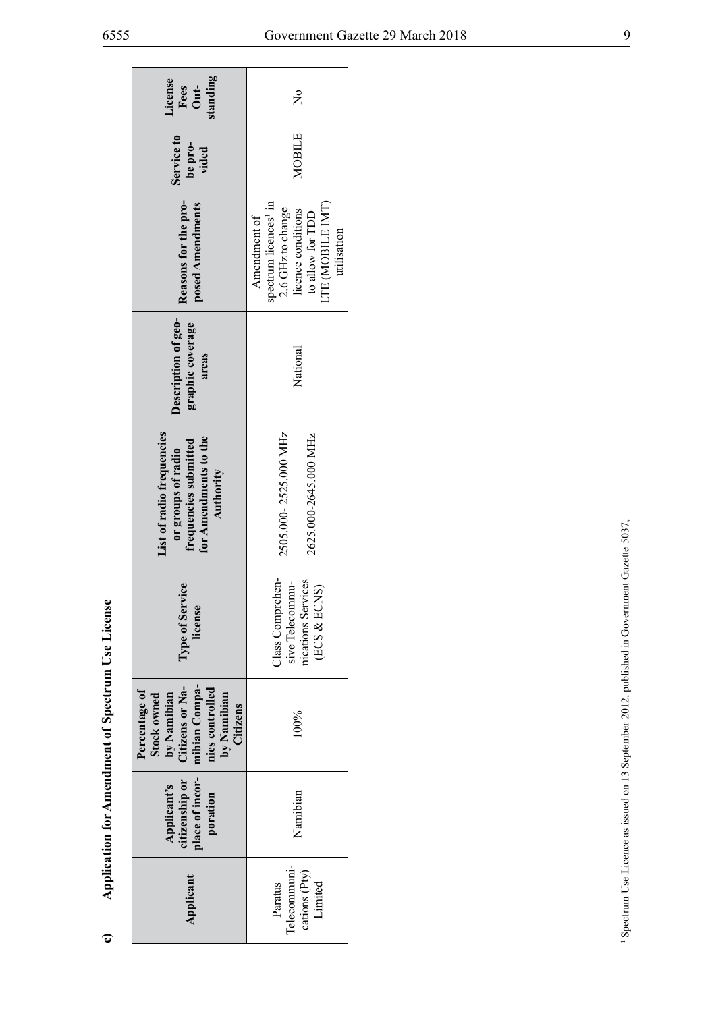| standing<br>License<br>Out-<br>Fees                                                                                           | $\tilde{z}$                                                                                                                                         |
|-------------------------------------------------------------------------------------------------------------------------------|-----------------------------------------------------------------------------------------------------------------------------------------------------|
| Service to<br>be pro-<br>vided                                                                                                | MOBILE                                                                                                                                              |
| Reasons for the pro-<br>posed Amendments                                                                                      | spectrum licences <sup>1</sup> in<br>LTE (MOBILE IMT)<br>2.6 GHz to change<br>licence conditions<br>to allow for TDD<br>Amendment of<br>utilisation |
| Description of geo-<br>graphic coverage<br>areas                                                                              | National                                                                                                                                            |
| <b>List of radio frequencies</b><br>for Amendments to the<br>frequencies submitted<br>or groups of radio<br>Authority         | 2505.000-2525.000 MHz<br>2625.000-2645.000 MHz                                                                                                      |
| Type of Service<br>license                                                                                                    | Class Comprehen-<br>nications Services<br>sive Telecommu-<br>(ECS & ECNS)                                                                           |
| mibian Compa-<br>Citizens or Na-<br>nies controlled<br>Percentage of<br>by Namibian<br>by Namibian<br>Stock owned<br>Citizens | 100%                                                                                                                                                |
| place of incor-<br>citizenship or<br>Applicant's<br>poration                                                                  | Namibian                                                                                                                                            |
| Applicant                                                                                                                     | lelecommuni-<br>cations (Pty)<br>Limited<br>Paratus                                                                                                 |

Application for Amendment of Spectrum Use License **c) Application for Amendment of Spectrum Use License**

 $\mathbf{c}$ 

<sup>&</sup>lt;sup>1</sup> Spectrum Use Licence as issued on 13 September 2012, published in Government Gazette 5037, 1 Spectrum Use Licence as issued on 13 September 2012, published in Government Gazette 5037,